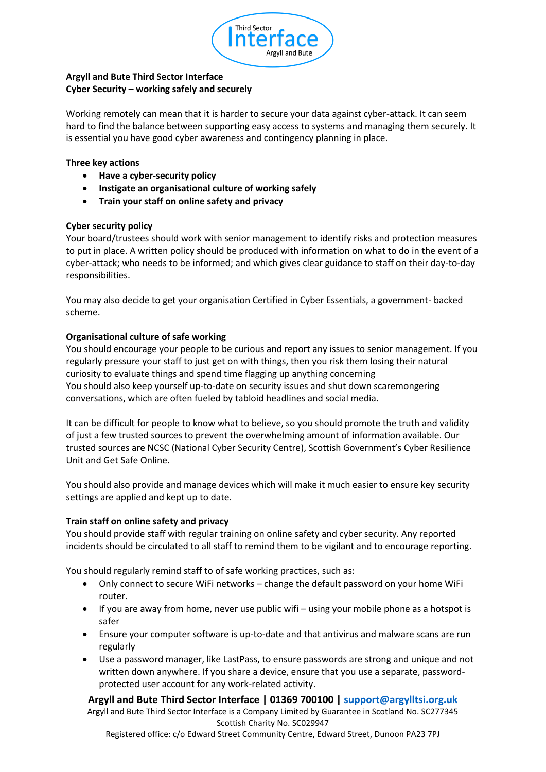

# **Argyll and Bute Third Sector Interface Cyber Security – working safely and securely**

Working remotely can mean that it is harder to secure your data against cyber-attack. It can seem hard to find the balance between supporting easy access to systems and managing them securely. It is essential you have good cyber awareness and contingency planning in place.

### **Three key actions**

- **Have a cyber-security policy**
- **Instigate an organisational culture of working safely**
- **Train your staff on online safety and privacy**

### **Cyber security policy**

Your board/trustees should work with senior management to identify risks and protection measures to put in place. A written policy should be produced with information on what to do in the event of a cyber-attack; who needs to be informed; and which gives clear guidance to staff on their day-to-day responsibilities.

You may also decide to get your organisation Certified in Cyber Essentials, a government- backed scheme.

### **Organisational culture of safe working**

You should encourage your people to be curious and report any issues to senior management. If you regularly pressure your staff to just get on with things, then you risk them losing their natural curiosity to evaluate things and spend time flagging up anything concerning You should also keep yourself up-to-date on security issues and shut down scaremongering conversations, which are often fueled by tabloid headlines and social media.

It can be difficult for people to know what to believe, so you should promote the truth and validity of just a few trusted sources to prevent the overwhelming amount of information available. Our trusted sources are NCSC (National Cyber Security Centre), Scottish Government's Cyber Resilience Unit and Get Safe Online.

You should also provide and manage devices which will make it much easier to ensure key security settings are applied and kept up to date.

#### **Train staff on online safety and privacy**

You should provide staff with regular training on online safety and cyber security. Any reported incidents should be circulated to all staff to remind them to be vigilant and to encourage reporting.

You should regularly remind staff to of safe working practices, such as:

- Only connect to secure WiFi networks change the default password on your home WiFi router.
- If you are away from home, never use public wifi using your mobile phone as a hotspot is safer
- Ensure your computer software is up-to-date and that antivirus and malware scans are run regularly
- Use a password manager, like LastPass, to ensure passwords are strong and unique and not written down anywhere. If you share a device, ensure that you use a separate, passwordprotected user account for any work-related activity.

**Argyll and Bute Third Sector Interface | 01369 700100 | [support@argylltsi.org.uk](mailto:support@argylltsi.org.uk)** Argyll and Bute Third Sector Interface is a Company Limited by Guarantee in Scotland No. SC277345 Scottish Charity No. SC029947

Registered office: c/o Edward Street Community Centre, Edward Street, Dunoon PA23 7PJ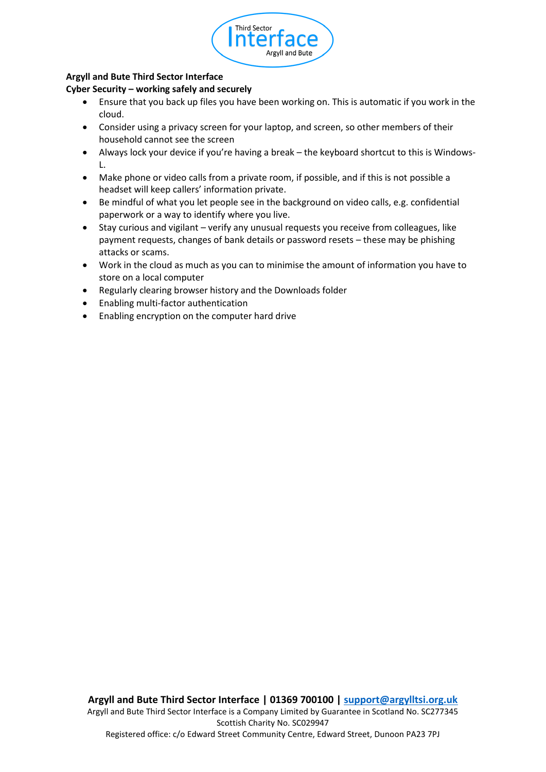

## **Argyll and Bute Third Sector Interface**

### **Cyber Security – working safely and securely**

- Ensure that you back up files you have been working on. This is automatic if you work in the cloud.
- Consider using a privacy screen for your laptop, and screen, so other members of their household cannot see the screen
- Always lock your device if you're having a break the keyboard shortcut to this is Windows-L.
- Make phone or video calls from a private room, if possible, and if this is not possible a headset will keep callers' information private.
- Be mindful of what you let people see in the background on video calls, e.g. confidential paperwork or a way to identify where you live.
- Stay curious and vigilant verify any unusual requests you receive from colleagues, like payment requests, changes of bank details or password resets – these may be phishing attacks or scams.
- Work in the cloud as much as you can to minimise the amount of information you have to store on a local computer
- Regularly clearing browser history and the Downloads folder
- Enabling multi-factor authentication
- Enabling encryption on the computer hard drive